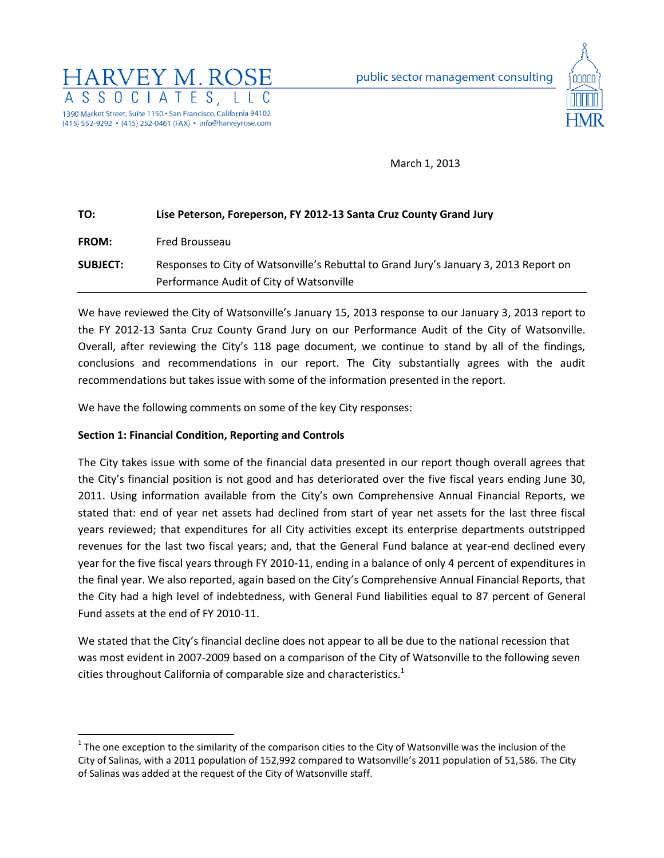



March 1, 2013

| TO:             | Lise Peterson, Foreperson, FY 2012-13 Santa Cruz County Grand Jury                                                                |  |  |
|-----------------|-----------------------------------------------------------------------------------------------------------------------------------|--|--|
| <b>FROM:</b>    | Fred Brousseau                                                                                                                    |  |  |
| <b>SUBJECT:</b> | Responses to City of Watsonville's Rebuttal to Grand Jury's January 3, 2013 Report on<br>Performance Audit of City of Watsonville |  |  |

We have reviewed the City of Watsonville's January 15, 2013 response to our January 3, 2013 report to the FY 2012-13 Santa Cruz County Grand Jury on our Performance Audit of the City of Watsonville. Overall, after reviewing the City's 118 page document, we continue to stand by all of the findings, conclusions and recommendations in our report. The City substantially agrees with the audit recommendations but takes issue with some of the information presented in the report.

We have the following comments on some of the key City responses:

# **Section 1: Financial Condition, Reporting and Controls**

 $\overline{\phantom{a}}$ 

The City takes issue with some of the financial data presented in our report though overall agrees that the City's financial position is not good and has deteriorated over the five fiscal years ending June 30, 2011. Using information available from the City's own Comprehensive Annual Financial Reports, we stated that: end of year net assets had declined from start of year net assets for the last three fiscal years reviewed; that expenditures for all City activities except its enterprise departments outstripped revenues for the last two fiscal years; and, that the General Fund balance at year-end declined every year for the five fiscal years through FY 2010-11, ending in a balance of only 4 percent of expenditures in the final year. We also reported, again based on the City's Comprehensive Annual Financial Reports, that the City had a high level of indebtedness, with General Fund liabilities equal to 87 percent of General Fund assets at the end of FY 2010-11.

We stated that the City's financial decline does not appear to all be due to the national recession that was most evident in 2007-2009 based on a comparison of the City of Watsonville to the following seven cities throughout California of comparable size and characteristics.<sup>1</sup>

 $1$  The one exception to the similarity of the comparison cities to the City of Watsonville was the inclusion of the City of Salinas, with a 2011 population of 152,992 compared to Watsonville's 2011 population of 51,586. The City of Salinas was added at the request of the City of Watsonville staff.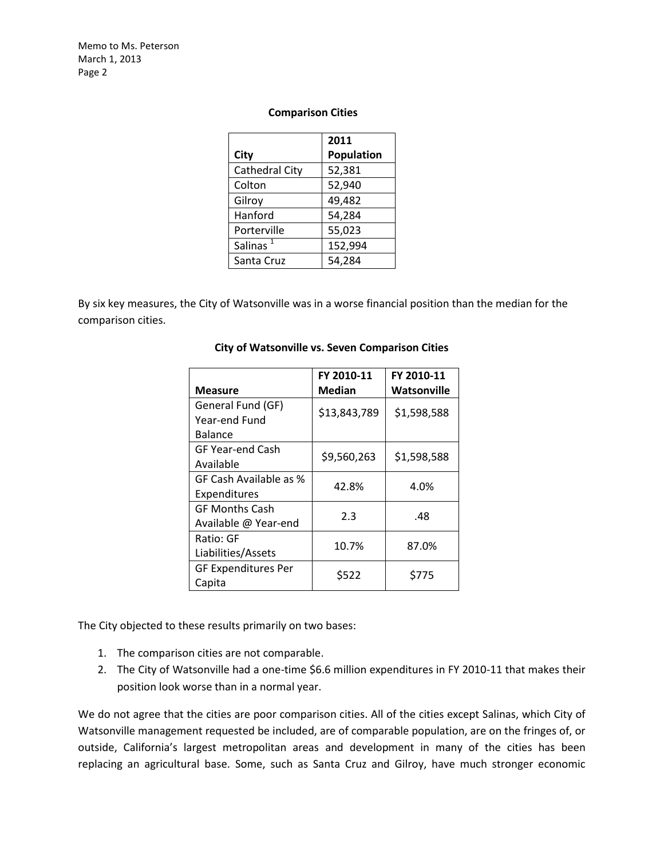Memo to Ms. Peterson March 1, 2013 Page 2

#### **Comparison Cities**

|                      | 2011       |  |
|----------------------|------------|--|
| City                 | Population |  |
| Cathedral City       | 52,381     |  |
| Colton               | 52,940     |  |
| Gilroy               | 49,482     |  |
| Hanford              | 54,284     |  |
| Porterville          | 55,023     |  |
| Salinas <sup>1</sup> | 152,994    |  |
| Santa Cruz           | 54,284     |  |

By six key measures, the City of Watsonville was in a worse financial position than the median for the comparison cities.

| <b>Measure</b>             | FY 2010-11<br><b>Median</b> | FY 2010-11<br>Watsonville |
|----------------------------|-----------------------------|---------------------------|
| General Fund (GF)          | \$13,843,789                | \$1,598,588               |
| Year-end Fund              |                             |                           |
| <b>Balance</b>             |                             |                           |
| <b>GF Year-end Cash</b>    | \$9,560,263                 | \$1,598,588               |
| Available                  |                             |                           |
| GF Cash Available as %     | 42.8%                       | 4.0%                      |
| Expenditures               |                             |                           |
| <b>GF Months Cash</b>      | 2.3                         | .48                       |
| Available @ Year-end       |                             |                           |
| Ratio: GF                  | 10.7%                       | 87.0%                     |
| Liabilities/Assets         |                             |                           |
| <b>GF Expenditures Per</b> | \$522                       | \$775                     |
| Capita                     |                             |                           |

#### **City of Watsonville vs. Seven Comparison Cities**

The City objected to these results primarily on two bases:

- 1. The comparison cities are not comparable.
- 2. The City of Watsonville had a one-time \$6.6 million expenditures in FY 2010-11 that makes their position look worse than in a normal year.

We do not agree that the cities are poor comparison cities. All of the cities except Salinas, which City of Watsonville management requested be included, are of comparable population, are on the fringes of, or outside, California's largest metropolitan areas and development in many of the cities has been replacing an agricultural base. Some, such as Santa Cruz and Gilroy, have much stronger economic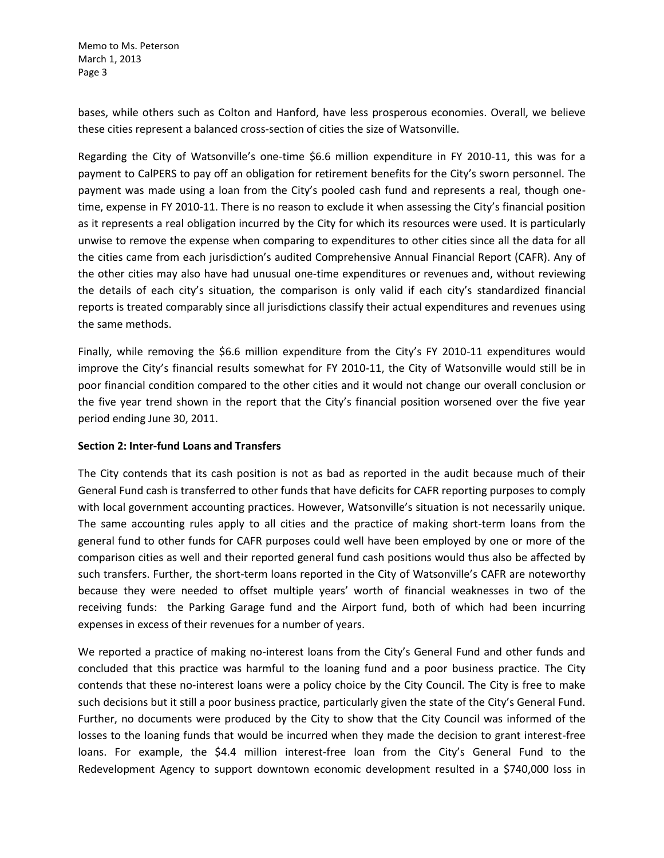Memo to Ms. Peterson March 1, 2013 Page 3

bases, while others such as Colton and Hanford, have less prosperous economies. Overall, we believe these cities represent a balanced cross-section of cities the size of Watsonville.

Regarding the City of Watsonville's one-time \$6.6 million expenditure in FY 2010-11, this was for a payment to CalPERS to pay off an obligation for retirement benefits for the City's sworn personnel. The payment was made using a loan from the City's pooled cash fund and represents a real, though onetime, expense in FY 2010-11. There is no reason to exclude it when assessing the City's financial position as it represents a real obligation incurred by the City for which its resources were used. It is particularly unwise to remove the expense when comparing to expenditures to other cities since all the data for all the cities came from each jurisdiction's audited Comprehensive Annual Financial Report (CAFR). Any of the other cities may also have had unusual one-time expenditures or revenues and, without reviewing the details of each city's situation, the comparison is only valid if each city's standardized financial reports is treated comparably since all jurisdictions classify their actual expenditures and revenues using the same methods.

Finally, while removing the \$6.6 million expenditure from the City's FY 2010-11 expenditures would improve the City's financial results somewhat for FY 2010-11, the City of Watsonville would still be in poor financial condition compared to the other cities and it would not change our overall conclusion or the five year trend shown in the report that the City's financial position worsened over the five year period ending June 30, 2011.

### **Section 2: Inter-fund Loans and Transfers**

The City contends that its cash position is not as bad as reported in the audit because much of their General Fund cash is transferred to other funds that have deficits for CAFR reporting purposes to comply with local government accounting practices. However, Watsonville's situation is not necessarily unique. The same accounting rules apply to all cities and the practice of making short-term loans from the general fund to other funds for CAFR purposes could well have been employed by one or more of the comparison cities as well and their reported general fund cash positions would thus also be affected by such transfers. Further, the short-term loans reported in the City of Watsonville's CAFR are noteworthy because they were needed to offset multiple years' worth of financial weaknesses in two of the receiving funds: the Parking Garage fund and the Airport fund, both of which had been incurring expenses in excess of their revenues for a number of years.

We reported a practice of making no-interest loans from the City's General Fund and other funds and concluded that this practice was harmful to the loaning fund and a poor business practice. The City contends that these no-interest loans were a policy choice by the City Council. The City is free to make such decisions but it still a poor business practice, particularly given the state of the City's General Fund. Further, no documents were produced by the City to show that the City Council was informed of the losses to the loaning funds that would be incurred when they made the decision to grant interest-free loans. For example, the \$4.4 million interest-free loan from the City's General Fund to the Redevelopment Agency to support downtown economic development resulted in a \$740,000 loss in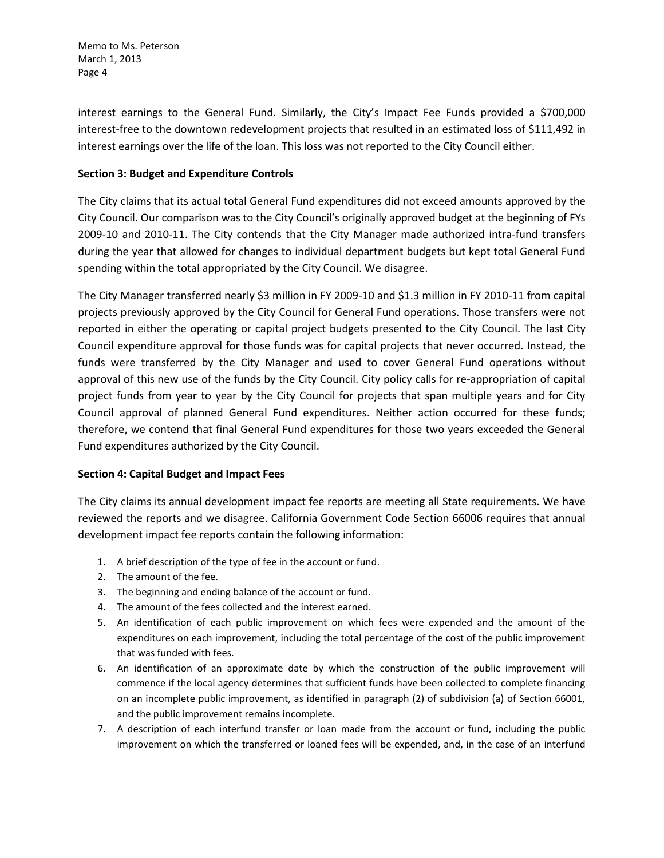Memo to Ms. Peterson March 1, 2013 Page 4

interest earnings to the General Fund. Similarly, the City's Impact Fee Funds provided a \$700,000 interest-free to the downtown redevelopment projects that resulted in an estimated loss of \$111,492 in interest earnings over the life of the loan. This loss was not reported to the City Council either.

## **Section 3: Budget and Expenditure Controls**

The City claims that its actual total General Fund expenditures did not exceed amounts approved by the City Council. Our comparison was to the City Council's originally approved budget at the beginning of FYs 2009-10 and 2010-11. The City contends that the City Manager made authorized intra-fund transfers during the year that allowed for changes to individual department budgets but kept total General Fund spending within the total appropriated by the City Council. We disagree.

The City Manager transferred nearly \$3 million in FY 2009-10 and \$1.3 million in FY 2010-11 from capital projects previously approved by the City Council for General Fund operations. Those transfers were not reported in either the operating or capital project budgets presented to the City Council. The last City Council expenditure approval for those funds was for capital projects that never occurred. Instead, the funds were transferred by the City Manager and used to cover General Fund operations without approval of this new use of the funds by the City Council. City policy calls for re-appropriation of capital project funds from year to year by the City Council for projects that span multiple years and for City Council approval of planned General Fund expenditures. Neither action occurred for these funds; therefore, we contend that final General Fund expenditures for those two years exceeded the General Fund expenditures authorized by the City Council.

### **Section 4: Capital Budget and Impact Fees**

The City claims its annual development impact fee reports are meeting all State requirements. We have reviewed the reports and we disagree. California Government Code Section 66006 requires that annual development impact fee reports contain the following information:

- 1. A brief description of the type of fee in the account or fund.
- 2. The amount of the fee.
- 3. The beginning and ending balance of the account or fund.
- 4. The amount of the fees collected and the interest earned.
- 5. An identification of each public improvement on which fees were expended and the amount of the expenditures on each improvement, including the total percentage of the cost of the public improvement that was funded with fees.
- 6. An identification of an approximate date by which the construction of the public improvement will commence if the local agency determines that sufficient funds have been collected to complete financing on an incomplete public improvement, as identified in paragraph (2) of subdivision (a) of Section 66001, and the public improvement remains incomplete.
- 7. A description of each interfund transfer or loan made from the account or fund, including the public improvement on which the transferred or loaned fees will be expended, and, in the case of an interfund